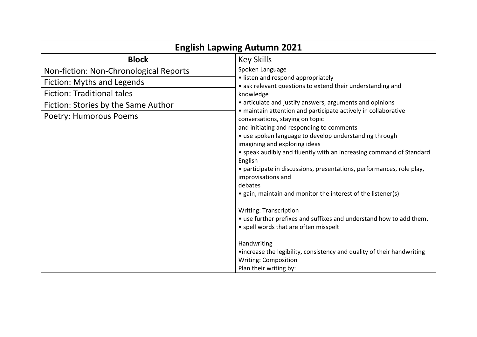| <b>English Lapwing Autumn 2021</b>     |                                                                                                                                                                                                                                                                                                                                                                                                                                                                                                                                                                                                                                       |  |
|----------------------------------------|---------------------------------------------------------------------------------------------------------------------------------------------------------------------------------------------------------------------------------------------------------------------------------------------------------------------------------------------------------------------------------------------------------------------------------------------------------------------------------------------------------------------------------------------------------------------------------------------------------------------------------------|--|
| <b>Block</b>                           | <b>Key Skills</b>                                                                                                                                                                                                                                                                                                                                                                                                                                                                                                                                                                                                                     |  |
| Non-fiction: Non-Chronological Reports | Spoken Language<br>• listen and respond appropriately<br>• ask relevant questions to extend their understanding and<br>knowledge<br>• articulate and justify answers, arguments and opinions<br>· maintain attention and participate actively in collaborative<br>conversations, staying on topic<br>and initiating and responding to comments<br>• use spoken language to develop understanding through<br>imagining and exploring ideas<br>• speak audibly and fluently with an increasing command of Standard<br>English<br>• participate in discussions, presentations, performances, role play,<br>improvisations and<br>debates |  |
| Fiction: Myths and Legends             |                                                                                                                                                                                                                                                                                                                                                                                                                                                                                                                                                                                                                                       |  |
| <b>Fiction: Traditional tales</b>      |                                                                                                                                                                                                                                                                                                                                                                                                                                                                                                                                                                                                                                       |  |
| Fiction: Stories by the Same Author    |                                                                                                                                                                                                                                                                                                                                                                                                                                                                                                                                                                                                                                       |  |
| <b>Poetry: Humorous Poems</b>          |                                                                                                                                                                                                                                                                                                                                                                                                                                                                                                                                                                                                                                       |  |
|                                        | • gain, maintain and monitor the interest of the listener(s)<br><b>Writing: Transcription</b><br>• use further prefixes and suffixes and understand how to add them.<br>• spell words that are often misspelt<br>Handwriting<br>•increase the legibility, consistency and quality of their handwriting<br><b>Writing: Composition</b><br>Plan their writing by:                                                                                                                                                                                                                                                                       |  |